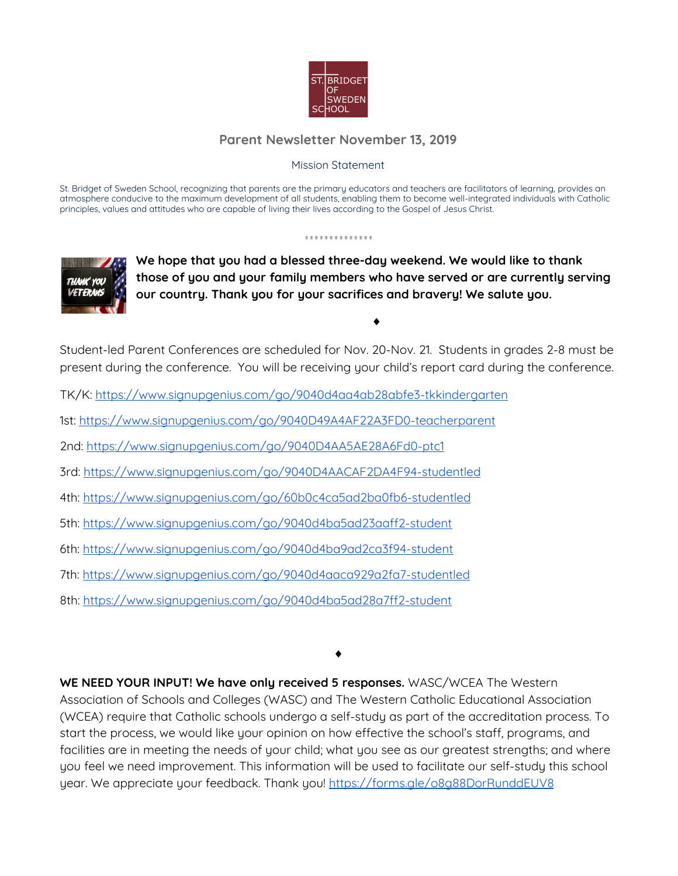

## **Parent Newsletter November 13, 2019**

## Mission Statement

St. Bridget of Sweden School, recognizing that parents are the primary educators and teachers are facilitators of learning, provides an atmosphere conducive to the maximum development of all students, enabling them to become well-integrated individuals with Catholic principles, values and attitudes who are capable of living their lives according to the Gospel of Jesus Christ.

..............



**We hope that you had a blessed three-day weekend. We would like to thank those of you and your family members who have served or are currently serving our country. Thank you for your sacrifices and bravery! We salute you.**

♦

Student-led Parent Conferences are scheduled for Nov. 20-Nov. 21. Students in grades 2-8 must be present during the conference. You will be receiving your child's report card during the conference.

- TK/K: <https://www.signupgenius.com/go/9040d4aa4ab28abfe3-tkkindergarten>
- 1st: <https://www.signupgenius.com/go/9040D49A4AF22A3FD0-teacherparent>
- 2nd: <https://www.signupgenius.com/go/9040D4AA5AE28A6Fd0-ptc1>
- 3rd: <https://www.signupgenius.com/go/9040D4AACAF2DA4F94-studentled>
- 4th: <https://www.signupgenius.com/go/60b0c4ca5ad2ba0fb6-studentled>
- 5th: <https://www.signupgenius.com/go/9040d4ba5ad23aaff2-student>
- 6th: <https://www.signupgenius.com/go/9040d4ba9ad2ca3f94-student>
- 7th: <https://www.signupgenius.com/go/9040d4aaca929a2fa7-studentled>
- 8th: <https://www.signupgenius.com/go/9040d4ba5ad28a7ff2-student>

♦

**WE NEED YOUR INPUT! We have only received 5 responses.** WASC/WCEA The Western Association of Schools and Colleges (WASC) and The Western Catholic Educational Association (WCEA) require that Catholic schools undergo a self-study as part of the accreditation process. To start the process, we would like your opinion on how effective the school's staff, programs, and facilities are in meeting the needs of your child; what you see as our greatest strengths; and where you feel we need improvement. This information will be used to facilitate our self-study this school year. We appreciate your feedback. Thank you! <https://forms.gle/o8g88DorRunddEUV8>